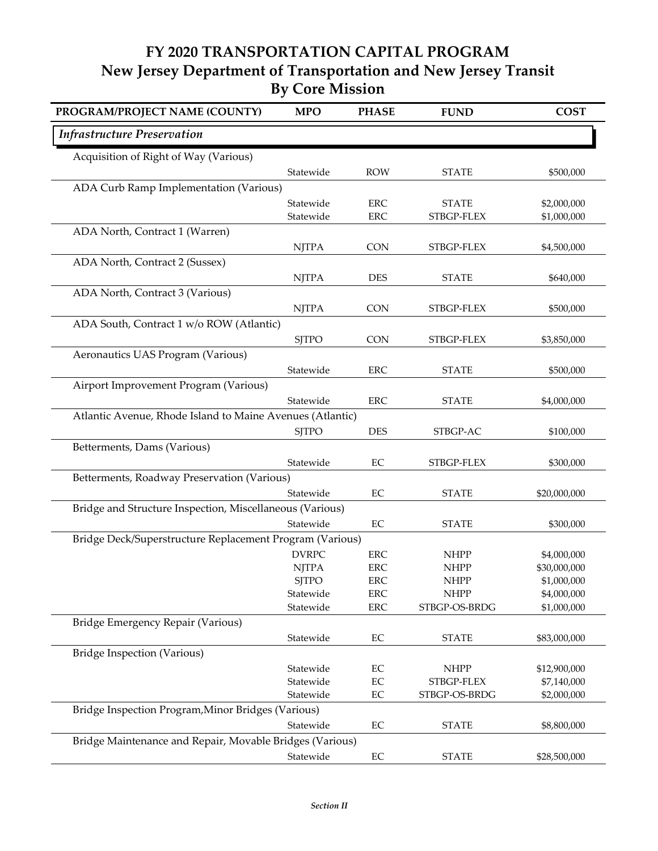## **FY 2020 TRANSPORTATION CAPITAL PROGRAM New Jersey Department of Transportation and New Jersey Transit By Core Mission**

| PROGRAM/PROJECT NAME (COUNTY)                             | <b>MPO</b>             | <b>PHASE</b> | <b>FUND</b>                 | <b>COST</b>                |
|-----------------------------------------------------------|------------------------|--------------|-----------------------------|----------------------------|
| <b>Infrastructure Preservation</b>                        |                        |              |                             |                            |
| Acquisition of Right of Way (Various)                     |                        |              |                             |                            |
|                                                           | Statewide              | <b>ROW</b>   | <b>STATE</b>                | \$500,000                  |
| ADA Curb Ramp Implementation (Various)                    |                        |              |                             |                            |
|                                                           | Statewide              | <b>ERC</b>   | <b>STATE</b>                | \$2,000,000                |
|                                                           | Statewide              | <b>ERC</b>   | STBGP-FLEX                  | \$1,000,000                |
| ADA North, Contract 1 (Warren)                            |                        |              |                             |                            |
|                                                           | <b>NJTPA</b>           | <b>CON</b>   | STBGP-FLEX                  | \$4,500,000                |
| ADA North, Contract 2 (Sussex)                            |                        |              |                             |                            |
|                                                           | <b>NJTPA</b>           | <b>DES</b>   | <b>STATE</b>                | \$640,000                  |
| ADA North, Contract 3 (Various)                           |                        |              |                             |                            |
|                                                           | <b>NJTPA</b>           | <b>CON</b>   | STBGP-FLEX                  | \$500,000                  |
| ADA South, Contract 1 w/o ROW (Atlantic)                  |                        |              |                             |                            |
|                                                           | <b>SJTPO</b>           | <b>CON</b>   | STBGP-FLEX                  | \$3,850,000                |
| Aeronautics UAS Program (Various)                         |                        |              |                             |                            |
|                                                           | Statewide              | <b>ERC</b>   | <b>STATE</b>                | \$500,000                  |
| Airport Improvement Program (Various)                     |                        |              |                             |                            |
|                                                           | Statewide              | <b>ERC</b>   | <b>STATE</b>                | \$4,000,000                |
| Atlantic Avenue, Rhode Island to Maine Avenues (Atlantic) |                        |              |                             |                            |
|                                                           | <b>SJTPO</b>           | <b>DES</b>   | STBGP-AC                    | \$100,000                  |
| Betterments, Dams (Various)                               |                        |              |                             |                            |
|                                                           | Statewide              | EC           | STBGP-FLEX                  | \$300,000                  |
| Betterments, Roadway Preservation (Various)               |                        |              |                             |                            |
|                                                           | Statewide              | EC           | <b>STATE</b>                | \$20,000,000               |
| Bridge and Structure Inspection, Miscellaneous (Various)  |                        |              |                             |                            |
|                                                           | Statewide              | EC           | <b>STATE</b>                | \$300,000                  |
| Bridge Deck/Superstructure Replacement Program (Various)  |                        |              |                             |                            |
|                                                           | <b>DVRPC</b>           | <b>ERC</b>   | <b>NHPP</b>                 | \$4,000,000                |
|                                                           | <b>NJTPA</b>           | <b>ERC</b>   | <b>NHPP</b>                 | \$30,000,000               |
|                                                           | <b>SJTPO</b>           | ${\rm ERC}$  | <b>NHPP</b>                 | \$1,000,000                |
|                                                           | Statewide              | ERC          | <b>NHPP</b>                 | \$4,000,000                |
|                                                           | Statewide              | ERC          | STBGP-OS-BRDG               | \$1,000,000                |
| Bridge Emergency Repair (Various)                         |                        |              |                             |                            |
|                                                           | Statewide              | $\rm EC$     | <b>STATE</b>                | \$83,000,000               |
| <b>Bridge Inspection (Various)</b>                        |                        |              |                             |                            |
|                                                           | Statewide              | $\rm EC$     | <b>NHPP</b>                 | \$12,900,000               |
|                                                           | Statewide<br>Statewide | EC<br>EC     | STBGP-FLEX<br>STBGP-OS-BRDG | \$7,140,000<br>\$2,000,000 |
| Bridge Inspection Program, Minor Bridges (Various)        |                        |              |                             |                            |
|                                                           | Statewide              | EC           | <b>STATE</b>                | \$8,800,000                |
| Bridge Maintenance and Repair, Movable Bridges (Various)  |                        |              |                             |                            |
|                                                           |                        |              |                             |                            |
|                                                           | Statewide              | $\rm EC$     | <b>STATE</b>                | \$28,500,000               |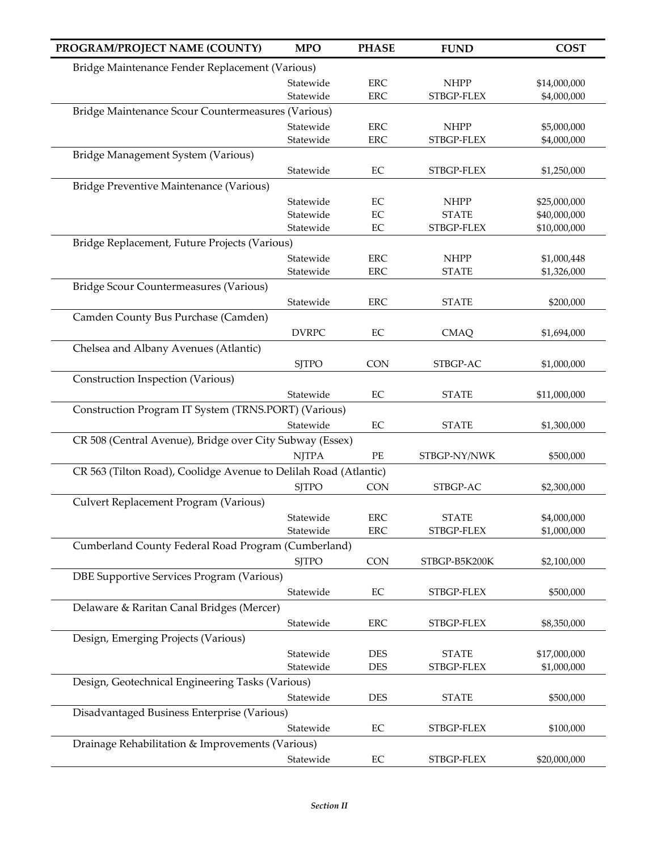| PROGRAM/PROJECT NAME (COUNTY)                                    | <b>MPO</b>   | <b>PHASE</b> | <b>FUND</b>   | <b>COST</b>  |
|------------------------------------------------------------------|--------------|--------------|---------------|--------------|
| Bridge Maintenance Fender Replacement (Various)                  |              |              |               |              |
|                                                                  | Statewide    | <b>ERC</b>   | <b>NHPP</b>   | \$14,000,000 |
|                                                                  | Statewide    | <b>ERC</b>   | STBGP-FLEX    | \$4,000,000  |
| Bridge Maintenance Scour Countermeasures (Various)               |              |              |               |              |
|                                                                  | Statewide    | <b>ERC</b>   | <b>NHPP</b>   | \$5,000,000  |
|                                                                  | Statewide    | <b>ERC</b>   | STBGP-FLEX    | \$4,000,000  |
| Bridge Management System (Various)                               |              |              |               |              |
|                                                                  | Statewide    | EC           | STBGP-FLEX    | \$1,250,000  |
| Bridge Preventive Maintenance (Various)                          |              |              |               |              |
|                                                                  | Statewide    | $\rm EC$     | <b>NHPP</b>   | \$25,000,000 |
|                                                                  | Statewide    | $\rm EC$     | <b>STATE</b>  | \$40,000,000 |
|                                                                  | Statewide    | $\rm EC$     | STBGP-FLEX    | \$10,000,000 |
| Bridge Replacement, Future Projects (Various)                    |              |              |               |              |
|                                                                  | Statewide    | <b>ERC</b>   | <b>NHPP</b>   | \$1,000,448  |
|                                                                  | Statewide    | <b>ERC</b>   | <b>STATE</b>  | \$1,326,000  |
| Bridge Scour Countermeasures (Various)                           |              |              |               |              |
|                                                                  |              | <b>ERC</b>   | <b>STATE</b>  |              |
|                                                                  | Statewide    |              |               | \$200,000    |
| Camden County Bus Purchase (Camden)                              |              |              |               |              |
|                                                                  | <b>DVRPC</b> | $\rm EC$     | <b>CMAQ</b>   | \$1,694,000  |
| Chelsea and Albany Avenues (Atlantic)                            |              |              |               |              |
|                                                                  | <b>SJTPO</b> | <b>CON</b>   | STBGP-AC      | \$1,000,000  |
| Construction Inspection (Various)                                |              |              |               |              |
|                                                                  | Statewide    | EC           | <b>STATE</b>  | \$11,000,000 |
| Construction Program IT System (TRNS.PORT) (Various)             |              |              |               |              |
|                                                                  | Statewide    | $\rm EC$     | <b>STATE</b>  | \$1,300,000  |
| CR 508 (Central Avenue), Bridge over City Subway (Essex)         |              |              |               |              |
|                                                                  | <b>NJTPA</b> | $\rm PE$     | STBGP-NY/NWK  | \$500,000    |
| CR 563 (Tilton Road), Coolidge Avenue to Delilah Road (Atlantic) |              |              |               |              |
|                                                                  | <b>SJTPO</b> | CON          | STBGP-AC      | \$2,300,000  |
| Culvert Replacement Program (Various)                            |              |              |               |              |
|                                                                  | Statewide    | ERC          | <b>STATE</b>  | \$4,000,000  |
|                                                                  | Statewide    | <b>ERC</b>   | STBGP-FLEX    | \$1,000,000  |
| Cumberland County Federal Road Program (Cumberland)              |              |              |               |              |
|                                                                  | <b>SJTPO</b> | <b>CON</b>   | STBGP-B5K200K | \$2,100,000  |
| DBE Supportive Services Program (Various)                        |              |              |               |              |
|                                                                  |              |              |               |              |
|                                                                  | Statewide    | EC           | STBGP-FLEX    | \$500,000    |
| Delaware & Raritan Canal Bridges (Mercer)                        |              |              |               |              |
|                                                                  | Statewide    | ERC          | STBGP-FLEX    | \$8,350,000  |
| Design, Emerging Projects (Various)                              |              |              |               |              |
|                                                                  | Statewide    | <b>DES</b>   | <b>STATE</b>  | \$17,000,000 |
|                                                                  | Statewide    | <b>DES</b>   | STBGP-FLEX    | \$1,000,000  |
| Design, Geotechnical Engineering Tasks (Various)                 |              |              |               |              |
|                                                                  | Statewide    | <b>DES</b>   | <b>STATE</b>  | \$500,000    |
| Disadvantaged Business Enterprise (Various)                      |              |              |               |              |
|                                                                  | Statewide    | $\rm EC$     | STBGP-FLEX    | \$100,000    |
| Drainage Rehabilitation & Improvements (Various)                 |              |              |               |              |
|                                                                  | Statewide    | EC           | STBGP-FLEX    | \$20,000,000 |
|                                                                  |              |              |               |              |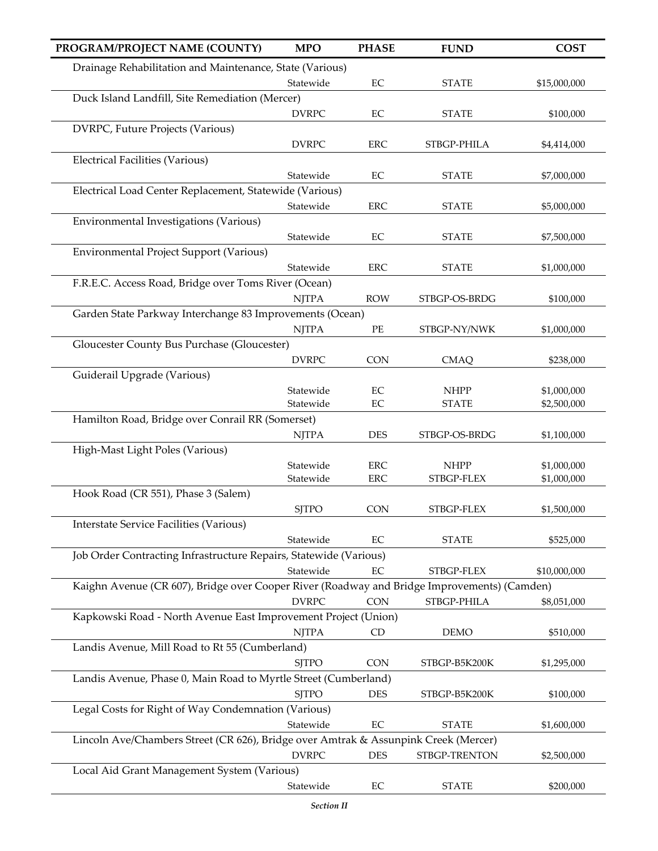| PROGRAM/PROJECT NAME (COUNTY)                                                               | <b>MPO</b>   | <b>PHASE</b> | <b>FUND</b>   | <b>COST</b>  |
|---------------------------------------------------------------------------------------------|--------------|--------------|---------------|--------------|
| Drainage Rehabilitation and Maintenance, State (Various)                                    |              |              |               |              |
|                                                                                             | Statewide    | $\rm EC$     | <b>STATE</b>  | \$15,000,000 |
| Duck Island Landfill, Site Remediation (Mercer)                                             |              |              |               |              |
|                                                                                             | <b>DVRPC</b> | $\rm EC$     | <b>STATE</b>  | \$100,000    |
| DVRPC, Future Projects (Various)                                                            |              |              |               |              |
|                                                                                             | <b>DVRPC</b> | <b>ERC</b>   | STBGP-PHILA   | \$4,414,000  |
| <b>Electrical Facilities (Various)</b>                                                      |              |              |               |              |
| Electrical Load Center Replacement, Statewide (Various)                                     | Statewide    | EC           | <b>STATE</b>  | \$7,000,000  |
|                                                                                             | Statewide    | <b>ERC</b>   | <b>STATE</b>  | \$5,000,000  |
| Environmental Investigations (Various)                                                      |              |              |               |              |
|                                                                                             | Statewide    | $\rm EC$     | <b>STATE</b>  | \$7,500,000  |
| Environmental Project Support (Various)                                                     |              |              |               |              |
|                                                                                             | Statewide    | <b>ERC</b>   | <b>STATE</b>  | \$1,000,000  |
| F.R.E.C. Access Road, Bridge over Toms River (Ocean)                                        |              |              |               |              |
|                                                                                             | <b>NJTPA</b> | <b>ROW</b>   | STBGP-OS-BRDG | \$100,000    |
| Garden State Parkway Interchange 83 Improvements (Ocean)                                    |              |              |               |              |
|                                                                                             | <b>NJTPA</b> | PE           | STBGP-NY/NWK  | \$1,000,000  |
| Gloucester County Bus Purchase (Gloucester)                                                 |              |              |               |              |
|                                                                                             | <b>DVRPC</b> | <b>CON</b>   | <b>CMAQ</b>   | \$238,000    |
| Guiderail Upgrade (Various)                                                                 |              |              |               |              |
|                                                                                             | Statewide    | $\rm EC$     | <b>NHPP</b>   | \$1,000,000  |
|                                                                                             | Statewide    | EC           | <b>STATE</b>  | \$2,500,000  |
| Hamilton Road, Bridge over Conrail RR (Somerset)                                            | <b>NJTPA</b> | <b>DES</b>   | STBGP-OS-BRDG | \$1,100,000  |
| High-Mast Light Poles (Various)                                                             |              |              |               |              |
|                                                                                             | Statewide    | <b>ERC</b>   | <b>NHPP</b>   | \$1,000,000  |
|                                                                                             | Statewide    | <b>ERC</b>   | STBGP-FLEX    | \$1,000,000  |
| Hook Road (CR 551), Phase 3 (Salem)                                                         |              |              |               |              |
|                                                                                             | <b>SJTPO</b> | <b>CON</b>   | STBGP-FLEX    | \$1,500,000  |
| <b>Interstate Service Facilities (Various)</b>                                              |              |              |               |              |
|                                                                                             | Statewide    | EC           | <b>STATE</b>  | \$525,000    |
| Job Order Contracting Infrastructure Repairs, Statewide (Various)                           |              |              |               |              |
|                                                                                             | Statewide    | EC           | STBGP-FLEX    | \$10,000,000 |
| Kaighn Avenue (CR 607), Bridge over Cooper River (Roadway and Bridge Improvements) (Camden) |              |              |               |              |
|                                                                                             | <b>DVRPC</b> | <b>CON</b>   | STBGP-PHILA   | \$8,051,000  |
| Kapkowski Road - North Avenue East Improvement Project (Union)                              |              |              |               |              |
|                                                                                             | <b>NJTPA</b> | CD           | <b>DEMO</b>   | \$510,000    |
| Landis Avenue, Mill Road to Rt 55 (Cumberland)                                              |              |              |               |              |
|                                                                                             | <b>SJTPO</b> | <b>CON</b>   | STBGP-B5K200K | \$1,295,000  |
| Landis Avenue, Phase 0, Main Road to Myrtle Street (Cumberland)                             | <b>SJTPO</b> | <b>DES</b>   | STBGP-B5K200K | \$100,000    |
| Legal Costs for Right of Way Condemnation (Various)                                         |              |              |               |              |
|                                                                                             | Statewide    | EC           | <b>STATE</b>  | \$1,600,000  |
| Lincoln Ave/Chambers Street (CR 626), Bridge over Amtrak & Assunpink Creek (Mercer)         |              |              |               |              |
|                                                                                             | <b>DVRPC</b> | <b>DES</b>   | STBGP-TRENTON | \$2,500,000  |
| Local Aid Grant Management System (Various)                                                 |              |              |               |              |
|                                                                                             | Statewide    | EC           | <b>STATE</b>  | \$200,000    |
|                                                                                             | Section II   |              |               |              |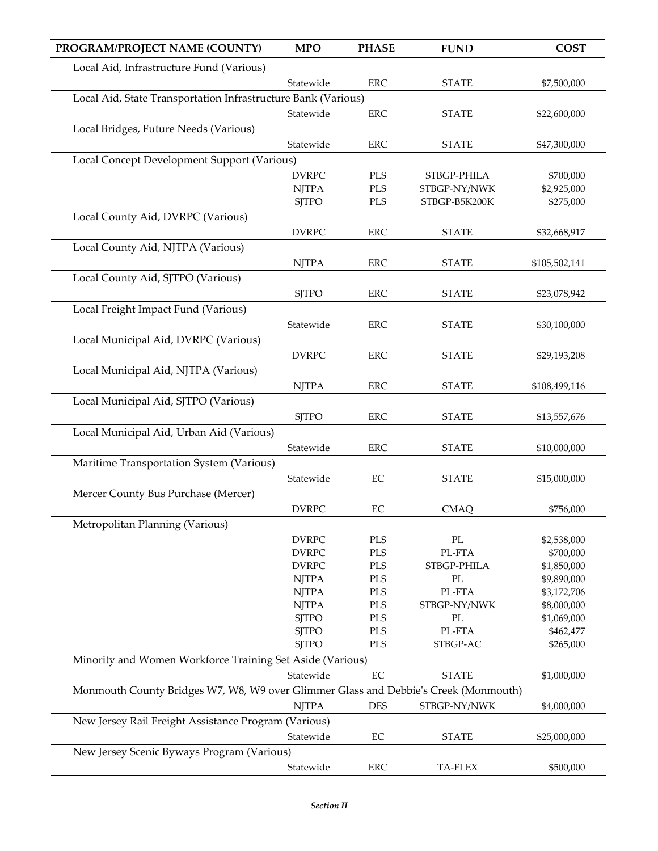| PROGRAM/PROJECT NAME (COUNTY)                                                       | <b>MPO</b>   | <b>PHASE</b> | <b>FUND</b>              | <b>COST</b>   |
|-------------------------------------------------------------------------------------|--------------|--------------|--------------------------|---------------|
| Local Aid, Infrastructure Fund (Various)                                            |              |              |                          |               |
|                                                                                     | Statewide    | <b>ERC</b>   | <b>STATE</b>             | \$7,500,000   |
| Local Aid, State Transportation Infrastructure Bank (Various)                       |              |              |                          |               |
|                                                                                     | Statewide    | <b>ERC</b>   | <b>STATE</b>             | \$22,600,000  |
| Local Bridges, Future Needs (Various)                                               |              |              |                          |               |
|                                                                                     | Statewide    | <b>ERC</b>   | <b>STATE</b>             | \$47,300,000  |
| Local Concept Development Support (Various)                                         |              |              |                          |               |
|                                                                                     | <b>DVRPC</b> | PLS          | STBGP-PHILA              | \$700,000     |
|                                                                                     | <b>NJTPA</b> | <b>PLS</b>   | STBGP-NY/NWK             | \$2,925,000   |
|                                                                                     | <b>SJTPO</b> | PLS          | STBGP-B5K200K            | \$275,000     |
| Local County Aid, DVRPC (Various)                                                   |              |              |                          |               |
|                                                                                     | <b>DVRPC</b> | <b>ERC</b>   | <b>STATE</b>             | \$32,668,917  |
| Local County Aid, NJTPA (Various)                                                   |              |              |                          |               |
|                                                                                     | <b>NJTPA</b> | <b>ERC</b>   | <b>STATE</b>             |               |
| Local County Aid, SJTPO (Various)                                                   |              |              |                          | \$105,502,141 |
|                                                                                     |              |              |                          |               |
|                                                                                     | <b>SJTPO</b> | <b>ERC</b>   | <b>STATE</b>             | \$23,078,942  |
| Local Freight Impact Fund (Various)                                                 |              |              |                          |               |
|                                                                                     | Statewide    | <b>ERC</b>   | <b>STATE</b>             | \$30,100,000  |
| Local Municipal Aid, DVRPC (Various)                                                |              |              |                          |               |
|                                                                                     | <b>DVRPC</b> | <b>ERC</b>   | <b>STATE</b>             | \$29,193,208  |
| Local Municipal Aid, NJTPA (Various)                                                |              |              |                          |               |
|                                                                                     | <b>NJTPA</b> | <b>ERC</b>   | <b>STATE</b>             | \$108,499,116 |
| Local Municipal Aid, SJTPO (Various)                                                |              |              |                          |               |
|                                                                                     | <b>SJTPO</b> | <b>ERC</b>   | <b>STATE</b>             | \$13,557,676  |
| Local Municipal Aid, Urban Aid (Various)                                            |              |              |                          |               |
|                                                                                     | Statewide    | <b>ERC</b>   | <b>STATE</b>             | \$10,000,000  |
| Maritime Transportation System (Various)                                            |              |              |                          |               |
|                                                                                     | Statewide    | EC           | <b>STATE</b>             | \$15,000,000  |
| Mercer County Bus Purchase (Mercer)                                                 |              |              |                          |               |
|                                                                                     | <b>DVRPC</b> | EC           | <b>CMAQ</b>              | \$756,000     |
| Metropolitan Planning (Various)                                                     |              |              |                          |               |
|                                                                                     | <b>DVRPC</b> | <b>PLS</b>   | $\mathcal{P}\mathcal{L}$ | \$2,538,000   |
|                                                                                     | <b>DVRPC</b> | PLS          | PL-FTA                   | \$700,000     |
|                                                                                     | <b>DVRPC</b> | PLS          | STBGP-PHILA              | \$1,850,000   |
|                                                                                     | <b>NJTPA</b> | PLS          | $\rm PL$                 | \$9,890,000   |
|                                                                                     | <b>NJTPA</b> | PLS          | PL-FTA                   | \$3,172,706   |
|                                                                                     | <b>NJTPA</b> | <b>PLS</b>   | STBGP-NY/NWK             | \$8,000,000   |
|                                                                                     | <b>SJTPO</b> | PLS          | $\rm PL$                 | \$1,069,000   |
|                                                                                     | <b>SJTPO</b> | PLS          | PL-FTA                   | \$462,477     |
|                                                                                     | <b>SJTPO</b> | <b>PLS</b>   | STBGP-AC                 | \$265,000     |
| Minority and Women Workforce Training Set Aside (Various)                           |              |              |                          |               |
|                                                                                     | Statewide    | EC           | <b>STATE</b>             | \$1,000,000   |
| Monmouth County Bridges W7, W8, W9 over Glimmer Glass and Debbie's Creek (Monmouth) |              |              |                          |               |
|                                                                                     | <b>NJTPA</b> | <b>DES</b>   | STBGP-NY/NWK             | \$4,000,000   |
| New Jersey Rail Freight Assistance Program (Various)                                |              |              |                          |               |
|                                                                                     | Statewide    | EC           | <b>STATE</b>             | \$25,000,000  |
| New Jersey Scenic Byways Program (Various)                                          |              |              |                          |               |
|                                                                                     | Statewide    | ERC          | TA-FLEX                  | \$500,000     |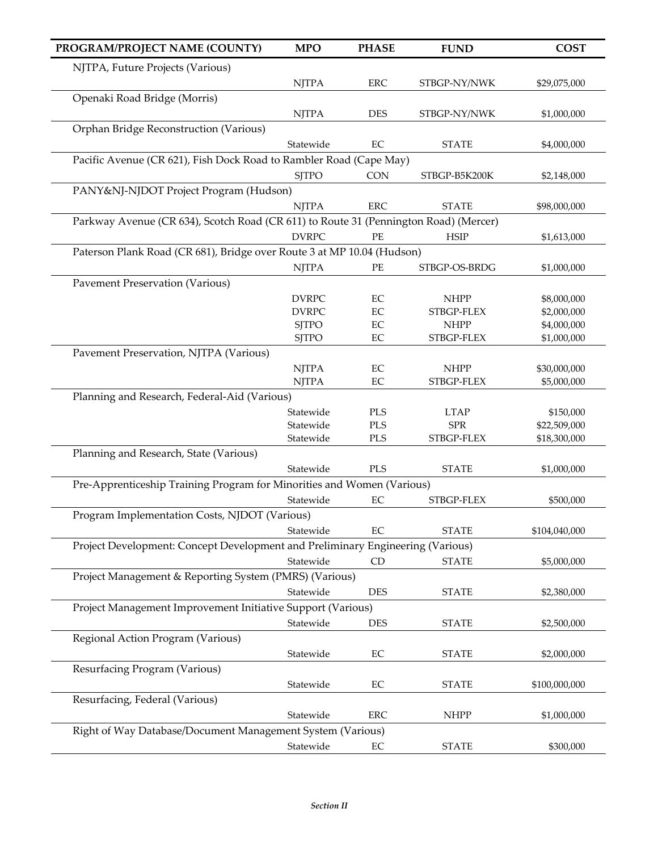| PROGRAM/PROJECT NAME (COUNTY)                                                        | <b>MPO</b>                                   | <b>PHASE</b> | <b>FUND</b>               | <b>COST</b>                |  |  |  |
|--------------------------------------------------------------------------------------|----------------------------------------------|--------------|---------------------------|----------------------------|--|--|--|
| NJTPA, Future Projects (Various)                                                     |                                              |              |                           |                            |  |  |  |
|                                                                                      | <b>NJTPA</b>                                 | ERC          | STBGP-NY/NWK              | \$29,075,000               |  |  |  |
| Openaki Road Bridge (Morris)                                                         |                                              |              |                           |                            |  |  |  |
|                                                                                      | <b>NJTPA</b>                                 | <b>DES</b>   | STBGP-NY/NWK              | \$1,000,000                |  |  |  |
| Orphan Bridge Reconstruction (Various)                                               |                                              |              |                           |                            |  |  |  |
|                                                                                      | Statewide                                    | $\rm EC$     | <b>STATE</b>              | \$4,000,000                |  |  |  |
| Pacific Avenue (CR 621), Fish Dock Road to Rambler Road (Cape May)                   |                                              |              |                           |                            |  |  |  |
|                                                                                      | <b>SJTPO</b>                                 | <b>CON</b>   | STBGP-B5K200K             | \$2,148,000                |  |  |  |
| PANY&NJ-NJDOT Project Program (Hudson)                                               |                                              |              |                           |                            |  |  |  |
|                                                                                      | <b>NJTPA</b>                                 | <b>ERC</b>   | <b>STATE</b>              | \$98,000,000               |  |  |  |
| Parkway Avenue (CR 634), Scotch Road (CR 611) to Route 31 (Pennington Road) (Mercer) |                                              |              |                           |                            |  |  |  |
|                                                                                      | <b>DVRPC</b>                                 | PE           | <b>HSIP</b>               | \$1,613,000                |  |  |  |
| Paterson Plank Road (CR 681), Bridge over Route 3 at MP 10.04 (Hudson)               |                                              |              |                           |                            |  |  |  |
|                                                                                      | <b>NJTPA</b>                                 | PE           | STBGP-OS-BRDG             | \$1,000,000                |  |  |  |
| <b>Pavement Preservation (Various)</b>                                               |                                              |              |                           |                            |  |  |  |
|                                                                                      | <b>DVRPC</b><br><b>DVRPC</b>                 | EC<br>EC     | <b>NHPP</b><br>STBGP-FLEX | \$8,000,000<br>\$2,000,000 |  |  |  |
|                                                                                      | <b>SJTPO</b>                                 | $\rm EC$     | <b>NHPP</b>               | \$4,000,000                |  |  |  |
|                                                                                      | <b>SJTPO</b>                                 | EC           | STBGP-FLEX                | \$1,000,000                |  |  |  |
| Pavement Preservation, NJTPA (Various)                                               |                                              |              |                           |                            |  |  |  |
|                                                                                      | <b>NJTPA</b>                                 | EC           | <b>NHPP</b>               | \$30,000,000               |  |  |  |
|                                                                                      | <b>NJTPA</b>                                 | EC           | STBGP-FLEX                | \$5,000,000                |  |  |  |
|                                                                                      | Planning and Research, Federal-Aid (Various) |              |                           |                            |  |  |  |
|                                                                                      | Statewide                                    | PLS          | <b>LTAP</b>               | \$150,000                  |  |  |  |
|                                                                                      | Statewide                                    | PLS          | <b>SPR</b>                | \$22,509,000               |  |  |  |
|                                                                                      | Statewide                                    | PLS          | STBGP-FLEX                | \$18,300,000               |  |  |  |
| Planning and Research, State (Various)                                               |                                              |              |                           |                            |  |  |  |
|                                                                                      | Statewide                                    | <b>PLS</b>   | <b>STATE</b>              | \$1,000,000                |  |  |  |
| Pre-Apprenticeship Training Program for Minorities and Women (Various)               |                                              |              |                           |                            |  |  |  |
|                                                                                      | Statewide                                    | EC           | STBGP-FLEX                | \$500,000                  |  |  |  |
| Program Implementation Costs, NJDOT (Various)                                        |                                              |              |                           |                            |  |  |  |
|                                                                                      | Statewide                                    | EC           | <b>STATE</b>              | \$104,040,000              |  |  |  |
| Project Development: Concept Development and Preliminary Engineering (Various)       | Statewide                                    |              |                           |                            |  |  |  |
|                                                                                      |                                              | CD           | <b>STATE</b>              | \$5,000,000                |  |  |  |
| Project Management & Reporting System (PMRS) (Various)                               |                                              |              |                           |                            |  |  |  |
| Project Management Improvement Initiative Support (Various)                          | Statewide                                    | <b>DES</b>   | <b>STATE</b>              | \$2,380,000                |  |  |  |
|                                                                                      | Statewide                                    | <b>DES</b>   |                           |                            |  |  |  |
|                                                                                      |                                              |              | <b>STATE</b>              | \$2,500,000                |  |  |  |
| Regional Action Program (Various)                                                    | Statewide                                    | EC           |                           | \$2,000,000                |  |  |  |
| Resurfacing Program (Various)                                                        |                                              |              | <b>STATE</b>              |                            |  |  |  |
|                                                                                      | Statewide                                    | EC           | <b>STATE</b>              | \$100,000,000              |  |  |  |
| Resurfacing, Federal (Various)                                                       |                                              |              |                           |                            |  |  |  |
|                                                                                      | Statewide                                    | <b>ERC</b>   | <b>NHPP</b>               | \$1,000,000                |  |  |  |
| Right of Way Database/Document Management System (Various)                           |                                              |              |                           |                            |  |  |  |
|                                                                                      | Statewide                                    | EC           | <b>STATE</b>              | \$300,000                  |  |  |  |
|                                                                                      |                                              |              |                           |                            |  |  |  |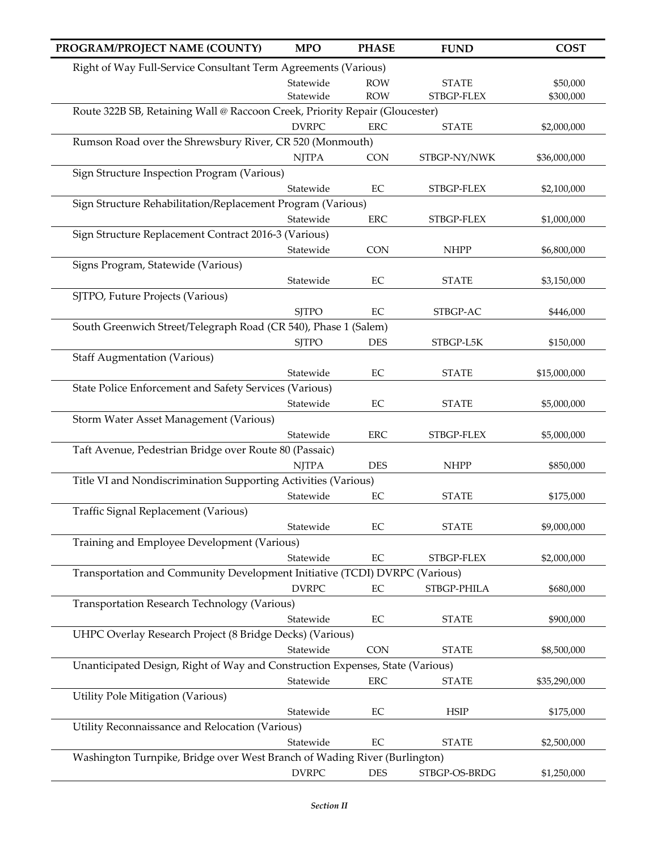| PROGRAM/PROJECT NAME (COUNTY)                                                 | <b>MPO</b>   | <b>PHASE</b> | <b>FUND</b>   | <b>COST</b>  |
|-------------------------------------------------------------------------------|--------------|--------------|---------------|--------------|
| Right of Way Full-Service Consultant Term Agreements (Various)                |              |              |               |              |
|                                                                               | Statewide    | <b>ROW</b>   | <b>STATE</b>  | \$50,000     |
|                                                                               | Statewide    | <b>ROW</b>   | STBGP-FLEX    | \$300,000    |
| Route 322B SB, Retaining Wall @ Raccoon Creek, Priority Repair (Gloucester)   |              |              |               |              |
|                                                                               | <b>DVRPC</b> | <b>ERC</b>   | <b>STATE</b>  | \$2,000,000  |
| Rumson Road over the Shrewsbury River, CR 520 (Monmouth)                      |              |              |               |              |
|                                                                               | <b>NJTPA</b> | <b>CON</b>   | STBGP-NY/NWK  | \$36,000,000 |
| Sign Structure Inspection Program (Various)                                   |              |              |               |              |
|                                                                               | Statewide    | $\rm EC$     | STBGP-FLEX    | \$2,100,000  |
| Sign Structure Rehabilitation/Replacement Program (Various)                   |              |              |               |              |
|                                                                               | Statewide    | <b>ERC</b>   | STBGP-FLEX    | \$1,000,000  |
| Sign Structure Replacement Contract 2016-3 (Various)                          |              |              |               |              |
|                                                                               | Statewide    | <b>CON</b>   | <b>NHPP</b>   | \$6,800,000  |
| Signs Program, Statewide (Various)                                            |              |              |               |              |
|                                                                               | Statewide    | EC           | <b>STATE</b>  | \$3,150,000  |
| SJTPO, Future Projects (Various)                                              |              |              |               |              |
|                                                                               | <b>SJTPO</b> | EC           | STBGP-AC      | \$446,000    |
| South Greenwich Street/Telegraph Road (CR 540), Phase 1 (Salem)               |              |              |               |              |
|                                                                               | <b>SJTPO</b> | <b>DES</b>   | STBGP-L5K     | \$150,000    |
| <b>Staff Augmentation (Various)</b>                                           |              |              |               |              |
|                                                                               | Statewide    | $\rm EC$     | <b>STATE</b>  | \$15,000,000 |
| State Police Enforcement and Safety Services (Various)                        |              |              |               |              |
|                                                                               | Statewide    | $\rm EC$     | <b>STATE</b>  | \$5,000,000  |
| Storm Water Asset Management (Various)                                        |              |              |               |              |
|                                                                               | Statewide    | <b>ERC</b>   | STBGP-FLEX    | \$5,000,000  |
| Taft Avenue, Pedestrian Bridge over Route 80 (Passaic)                        |              |              |               |              |
|                                                                               | <b>NJTPA</b> | <b>DES</b>   | <b>NHPP</b>   | \$850,000    |
| Title VI and Nondiscrimination Supporting Activities (Various)                |              |              |               |              |
|                                                                               | Statewide    | $\rm EC$     | <b>STATE</b>  | \$175,000    |
| Traffic Signal Replacement (Various)                                          |              |              |               |              |
|                                                                               | Statewide    | EC           | <b>STATE</b>  | \$9,000,000  |
| Training and Employee Development (Various)                                   |              |              |               |              |
|                                                                               | Statewide    | $\rm EC$     | STBGP-FLEX    | \$2,000,000  |
| Transportation and Community Development Initiative (TCDI) DVRPC (Various)    |              |              |               |              |
|                                                                               | <b>DVRPC</b> | EC           | STBGP-PHILA   | \$680,000    |
| Transportation Research Technology (Various)                                  |              |              |               |              |
|                                                                               | Statewide    | EC           | <b>STATE</b>  | \$900,000    |
| UHPC Overlay Research Project (8 Bridge Decks) (Various)                      |              |              |               |              |
|                                                                               | Statewide    | <b>CON</b>   | <b>STATE</b>  | \$8,500,000  |
| Unanticipated Design, Right of Way and Construction Expenses, State (Various) |              |              |               |              |
|                                                                               | Statewide    | <b>ERC</b>   | <b>STATE</b>  | \$35,290,000 |
| Utility Pole Mitigation (Various)                                             |              |              |               |              |
|                                                                               | Statewide    | EC           | <b>HSIP</b>   | \$175,000    |
| Utility Reconnaissance and Relocation (Various)                               |              |              |               |              |
|                                                                               | Statewide    | $\rm EC$     | <b>STATE</b>  | \$2,500,000  |
| Washington Turnpike, Bridge over West Branch of Wading River (Burlington)     |              |              |               |              |
|                                                                               | <b>DVRPC</b> | <b>DES</b>   | STBGP-OS-BRDG | \$1,250,000  |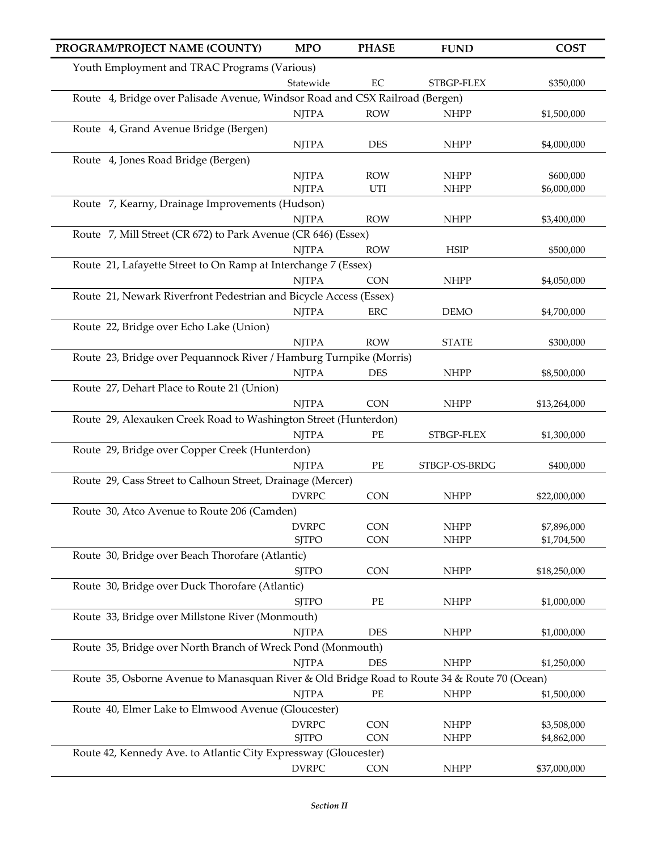| PROGRAM/PROJECT NAME (COUNTY)                                                                | <b>MPO</b>   | <b>PHASE</b> | <b>FUND</b>   | <b>COST</b>  |
|----------------------------------------------------------------------------------------------|--------------|--------------|---------------|--------------|
| Youth Employment and TRAC Programs (Various)                                                 |              |              |               |              |
|                                                                                              | Statewide    | $\rm EC$     | STBGP-FLEX    | \$350,000    |
| Route 4, Bridge over Palisade Avenue, Windsor Road and CSX Railroad (Bergen)                 |              |              |               |              |
|                                                                                              | <b>NJTPA</b> | <b>ROW</b>   | <b>NHPP</b>   | \$1,500,000  |
| Route 4, Grand Avenue Bridge (Bergen)                                                        |              |              |               |              |
|                                                                                              | <b>NJTPA</b> | DES          | <b>NHPP</b>   | \$4,000,000  |
| Route 4, Jones Road Bridge (Bergen)                                                          |              |              |               |              |
|                                                                                              | <b>NJTPA</b> | <b>ROW</b>   | <b>NHPP</b>   | \$600,000    |
|                                                                                              | <b>NJTPA</b> | UTI          | <b>NHPP</b>   | \$6,000,000  |
| Route 7, Kearny, Drainage Improvements (Hudson)                                              | <b>NJTPA</b> | <b>ROW</b>   |               |              |
| Route 7, Mill Street (CR 672) to Park Avenue (CR 646) (Essex)                                |              |              | <b>NHPP</b>   | \$3,400,000  |
|                                                                                              | <b>NJTPA</b> | <b>ROW</b>   | <b>HSIP</b>   | \$500,000    |
| Route 21, Lafayette Street to On Ramp at Interchange 7 (Essex)                               |              |              |               |              |
|                                                                                              | <b>NJTPA</b> | <b>CON</b>   | <b>NHPP</b>   | \$4,050,000  |
| Route 21, Newark Riverfront Pedestrian and Bicycle Access (Essex)                            |              |              |               |              |
|                                                                                              | <b>NJTPA</b> | ERC          | <b>DEMO</b>   | \$4,700,000  |
| Route 22, Bridge over Echo Lake (Union)                                                      |              |              |               |              |
|                                                                                              | <b>NJTPA</b> | <b>ROW</b>   | <b>STATE</b>  | \$300,000    |
| Route 23, Bridge over Pequannock River / Hamburg Turnpike (Morris)                           |              |              |               |              |
|                                                                                              | <b>NJTPA</b> | <b>DES</b>   | <b>NHPP</b>   | \$8,500,000  |
| Route 27, Dehart Place to Route 21 (Union)                                                   |              |              |               |              |
|                                                                                              | <b>NJTPA</b> | <b>CON</b>   | <b>NHPP</b>   | \$13,264,000 |
| Route 29, Alexauken Creek Road to Washington Street (Hunterdon)                              |              |              |               |              |
|                                                                                              | <b>NJTPA</b> | $\rm PE$     | STBGP-FLEX    | \$1,300,000  |
| Route 29, Bridge over Copper Creek (Hunterdon)                                               |              |              |               |              |
| Route 29, Cass Street to Calhoun Street, Drainage (Mercer)                                   | <b>NJTPA</b> | $\rm PE$     | STBGP-OS-BRDG | \$400,000    |
|                                                                                              | <b>DVRPC</b> | <b>CON</b>   | <b>NHPP</b>   | \$22,000,000 |
| Route 30, Atco Avenue to Route 206 (Camden)                                                  |              |              |               |              |
|                                                                                              | <b>DVRPC</b> | <b>CON</b>   | <b>NHPP</b>   | \$7,896,000  |
|                                                                                              | <b>SJTPO</b> | <b>CON</b>   | <b>NHPP</b>   | \$1,704,500  |
| Route 30, Bridge over Beach Thorofare (Atlantic)                                             |              |              |               |              |
|                                                                                              | <b>SJTPO</b> | <b>CON</b>   | <b>NHPP</b>   | \$18,250,000 |
| Route 30, Bridge over Duck Thorofare (Atlantic)                                              |              |              |               |              |
|                                                                                              | <b>SJTPO</b> | PE           | <b>NHPP</b>   | \$1,000,000  |
| Route 33, Bridge over Millstone River (Monmouth)                                             |              |              |               |              |
|                                                                                              | <b>NJTPA</b> | DES          | <b>NHPP</b>   | \$1,000,000  |
| Route 35, Bridge over North Branch of Wreck Pond (Monmouth)                                  |              |              |               |              |
|                                                                                              | <b>NJTPA</b> | <b>DES</b>   | <b>NHPP</b>   | \$1,250,000  |
| Route 35, Osborne Avenue to Manasquan River & Old Bridge Road to Route 34 & Route 70 (Ocean) |              | PE           | <b>NHPP</b>   |              |
| Route 40, Elmer Lake to Elmwood Avenue (Gloucester)                                          | <b>NJTPA</b> |              |               | \$1,500,000  |
|                                                                                              | <b>DVRPC</b> | <b>CON</b>   | <b>NHPP</b>   | \$3,508,000  |
|                                                                                              | <b>SJTPO</b> | CON          | <b>NHPP</b>   | \$4,862,000  |
| Route 42, Kennedy Ave. to Atlantic City Expressway (Gloucester)                              |              |              |               |              |
|                                                                                              | <b>DVRPC</b> | CON          | <b>NHPP</b>   | \$37,000,000 |